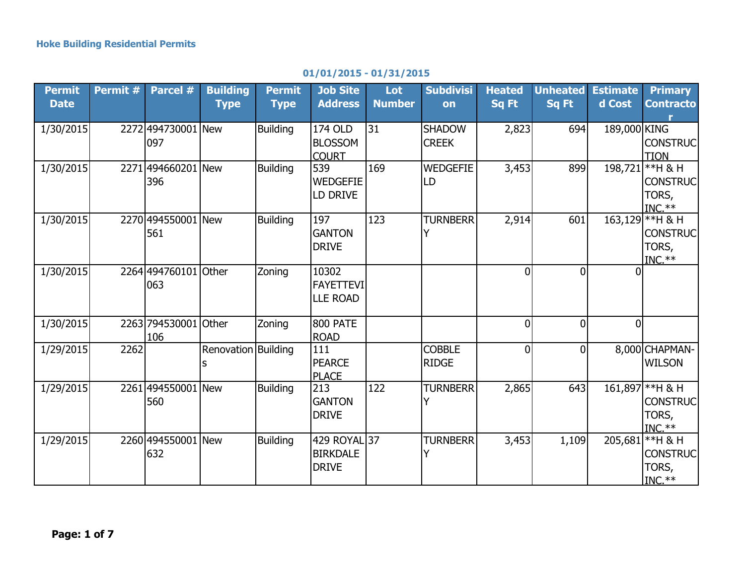## **01/01/2015 - 01/31/2015**

| <b>Permit</b><br><b>Date</b> | Permit # | Parcel #                    | <b>Building</b><br><b>Type</b> | <b>Permit</b><br><b>Type</b> | <b>Job Site</b><br><b>Address</b>               | Lot<br><b>Number</b> | <b>Subdivisi</b><br>on        | <b>Heated</b><br>Sq Ft | <b>Unheated</b><br>Sq Ft | <b>Estimate</b><br>d Cost | <b>Primary</b><br><b>Contracto</b>                       |
|------------------------------|----------|-----------------------------|--------------------------------|------------------------------|-------------------------------------------------|----------------------|-------------------------------|------------------------|--------------------------|---------------------------|----------------------------------------------------------|
| 1/30/2015                    |          | 2272 494730001 New<br>097   |                                | <b>Building</b>              | 174 OLD<br><b>BLOSSOM</b><br><b>COURT</b>       | 31                   | <b>SHADOW</b><br><b>CREEK</b> | 2,823                  | 694                      | 189,000 KING              | <b>CONSTRUC</b><br><b>TION</b>                           |
| 1/30/2015                    |          | 2271 494660201 New<br>396   |                                | <b>Building</b>              | 539<br><b>WEDGEFIE</b><br>LD DRIVE              | 169                  | <b>WEDGEFIE</b><br>LD         | 3,453                  | 899                      |                           | 198,721 ** H & H<br><b>CONSTRUC</b><br>TORS,<br>$INC.**$ |
| 1/30/2015                    |          | 2270 494550001 New<br>561   |                                | <b>Building</b>              | 197<br><b>GANTON</b><br><b>DRIVE</b>            | 123                  | <b>TURNBERR</b>               | 2,914                  | 601                      |                           | 163,129 ** H & H<br><b>CONSTRUC</b><br>TORS,<br>$INC.**$ |
| 1/30/2015                    |          | 2264 494760101<br>063       | Other                          | Zoning                       | 10302<br><b>FAYETTEVI</b><br><b>LLE ROAD</b>    |                      |                               | $\overline{0}$         | $\Omega$                 |                           |                                                          |
| 1/30/2015                    |          | 2263 794530001 Other<br>106 |                                | Zoning                       | 800 PATE<br><b>ROAD</b>                         |                      |                               | $\overline{0}$         | $\Omega$                 | $\overline{0}$            |                                                          |
| 1/29/2015                    | 2262     |                             | Renovation Building            |                              | 111<br>PEARCE<br><b>PLACE</b>                   |                      | <b>COBBLE</b><br><b>RIDGE</b> | $\overline{0}$         | $\overline{0}$           |                           | 8,000 CHAPMAN-<br><b>WILSON</b>                          |
| 1/29/2015                    |          | 2261 494550001 New<br>560   |                                | <b>Building</b>              | 213<br><b>GANTON</b><br><b>DRIVE</b>            | 122                  | <b>TURNBERR</b>               | 2,865                  | 643                      |                           | 161,897 ** H & H<br><b>CONSTRUC</b><br>TORS,<br>$INC.**$ |
| 1/29/2015                    |          | 2260 494550001 New<br>632   |                                | <b>Building</b>              | 429 ROYAL 37<br><b>BIRKDALE</b><br><b>DRIVE</b> |                      | <b>TURNBERR</b>               | 3,453                  | 1,109                    |                           | 205,681 ** H & H<br><b>CONSTRUC</b><br>TORS,<br>$INC.**$ |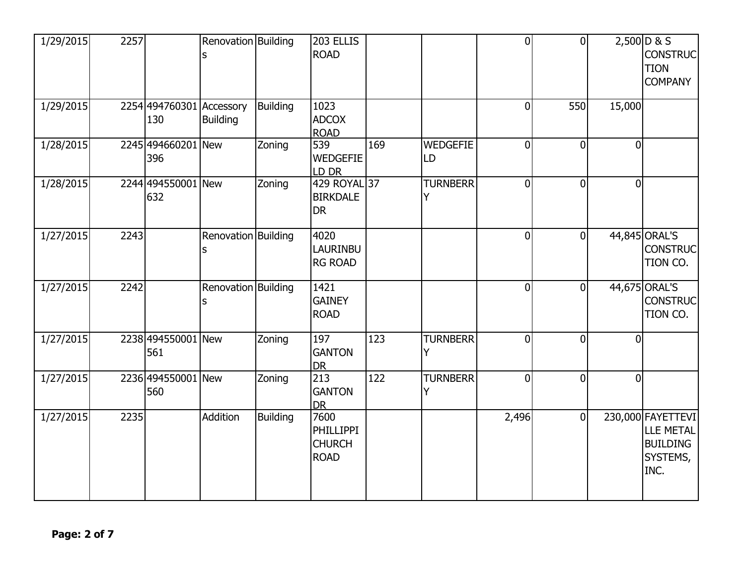| 1/29/2015 | 2257 |                                 | Renovation Building |                 | 203 ELLIS<br><b>ROAD</b>                                 |     |                       | $\overline{0}$ | $\mathbf{0}$   |                | $2,500$ D & S<br><b>CONSTRUC</b><br><b>TION</b><br><b>COMPANY</b>            |
|-----------|------|---------------------------------|---------------------|-----------------|----------------------------------------------------------|-----|-----------------------|----------------|----------------|----------------|------------------------------------------------------------------------------|
| 1/29/2015 |      | 2254 494760301 Accessory<br>130 | <b>Building</b>     | <b>Building</b> | 1023<br><b>ADCOX</b><br><b>ROAD</b>                      |     |                       | $\overline{0}$ | 550            | 15,000         |                                                                              |
| 1/28/2015 |      | 2245 494660201 New<br>396       |                     | Zoning          | 539<br><b>WEDGEFIE</b><br>LD DR                          | 169 | <b>WEDGEFIE</b><br>LD | $\overline{0}$ | $\overline{0}$ | $\overline{0}$ |                                                                              |
| 1/28/2015 |      | 2244 494550001 New<br>632       |                     | Zoning          | 429 ROYAL 37<br><b>BIRKDALE</b><br><b>DR</b>             |     | <b>TURNBERR</b><br>Y  | $\overline{0}$ | $\overline{0}$ | $\overline{0}$ |                                                                              |
| 1/27/2015 | 2243 |                                 | Renovation Building |                 | 4020<br><b>LAURINBU</b><br><b>RG ROAD</b>                |     |                       | $\mathbf 0$    | $\Omega$       |                | 44,845 ORAL'S<br><b>CONSTRUC</b><br>TION CO.                                 |
| 1/27/2015 | 2242 |                                 | Renovation Building |                 | 1421<br><b>GAINEY</b><br><b>ROAD</b>                     |     |                       | $\overline{0}$ | $\Omega$       |                | 44,675 ORAL'S<br><b>CONSTRUC</b><br>TION CO.                                 |
| 1/27/2015 |      | 2238 494550001 New<br>561       |                     | Zoning          | 197<br><b>GANTON</b><br><b>DR</b>                        | 123 | <b>TURNBERR</b>       | $\overline{0}$ | $\mathbf{0}$   | $\overline{0}$ |                                                                              |
| 1/27/2015 |      | 2236 494550001 New<br>560       |                     | Zoning          | 213<br><b>GANTON</b><br><b>DR</b>                        | 122 | <b>TURNBERR</b><br>Y  | $\overline{0}$ | $\Omega$       | $\Omega$       |                                                                              |
| 1/27/2015 | 2235 |                                 | Addition            | <b>Building</b> | 7600<br><b>PHILLIPPI</b><br><b>CHURCH</b><br><b>ROAD</b> |     |                       | 2,496          | $\Omega$       |                | 230,000 FAYETTEVI<br><b>LLE METAL</b><br><b>BUILDING</b><br>SYSTEMS,<br>INC. |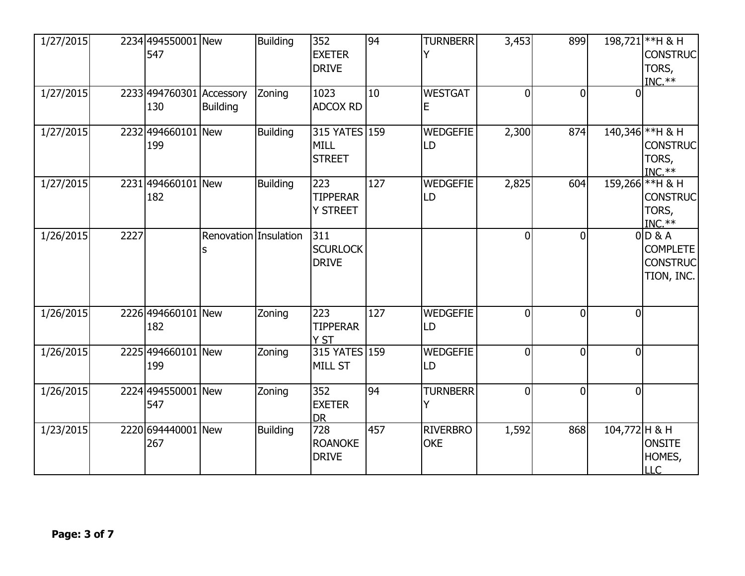| 1/27/2015 |      | 2234 494550001 New<br>547       |                       | <b>Building</b> | 352<br><b>EXETER</b><br><b>DRIVE</b>      | 94  | <b>TURNBERR</b>               | 3,453          | 899          |                | 198,721 ** H & H<br><b>CONSTRUC</b><br>TORS,<br>$INC.**$      |
|-----------|------|---------------------------------|-----------------------|-----------------|-------------------------------------------|-----|-------------------------------|----------------|--------------|----------------|---------------------------------------------------------------|
| 1/27/2015 |      | 2233 494760301 Accessory<br>130 | <b>Building</b>       | Zoning          | 1023<br><b>ADCOX RD</b>                   | 10  | <b>WESTGAT</b><br>Е           | 0              | $\Omega$     |                |                                                               |
| 1/27/2015 |      | 2232 494660101 New<br>199       |                       | <b>Building</b> | 315 YATES 159<br>MILL<br><b>STREET</b>    |     | <b>WEDGEFIE</b><br>LD         | 2,300          | 874          |                | 140,346 ** H & H<br><b>CONSTRUC</b><br>TORS,<br>$INC.**$      |
| 1/27/2015 |      | 2231 494660101 New<br>182       |                       | <b>Building</b> | 223<br><b>TIPPERAR</b><br><b>Y STREET</b> | 127 | <b>WEDGEFIE</b><br>LD         | 2,825          | 604          |                | 159,266 ** H & H<br><b>CONSTRUC</b><br>TORS,<br>$INC.**$      |
| 1/26/2015 | 2227 |                                 | Renovation Insulation |                 | 311<br><b>SCURLOCK</b><br><b>DRIVE</b>    |     |                               | $\mathbf 0$    | $\Omega$     |                | $0$ D & A<br><b>COMPLETE</b><br><b>CONSTRUC</b><br>TION, INC. |
| 1/26/2015 |      | 2226 494660101 New<br>182       |                       | Zoning          | 223<br><b>TIPPERAR</b><br>Y ST            | 127 | <b>WEDGEFIE</b><br>LD         | $\overline{0}$ | $\Omega$     | $\overline{0}$ |                                                               |
| 1/26/2015 |      | 2225 494660101 New<br>199       |                       | Zoning          | 315 YATES 159<br><b>MILL ST</b>           |     | <b>WEDGEFIE</b><br>LD         | $\overline{0}$ | $\mathbf{0}$ | $\overline{0}$ |                                                               |
| 1/26/2015 |      | 2224 494550001 New<br>547       |                       | Zoning          | 352<br><b>EXETER</b><br><b>DR</b>         | 94  | <b>TURNBERR</b><br>Y          | $\overline{0}$ | $\Omega$     | $\overline{0}$ |                                                               |
| 1/23/2015 |      | 2220 694440001 New<br>267       |                       | Building        | 728<br><b>ROANOKE</b><br><b>DRIVE</b>     | 457 | <b>RIVERBRO</b><br><b>OKE</b> | 1,592          | 868          | 104,772 H & H  | <b>ONSITE</b><br>HOMES,<br><b>LLC</b>                         |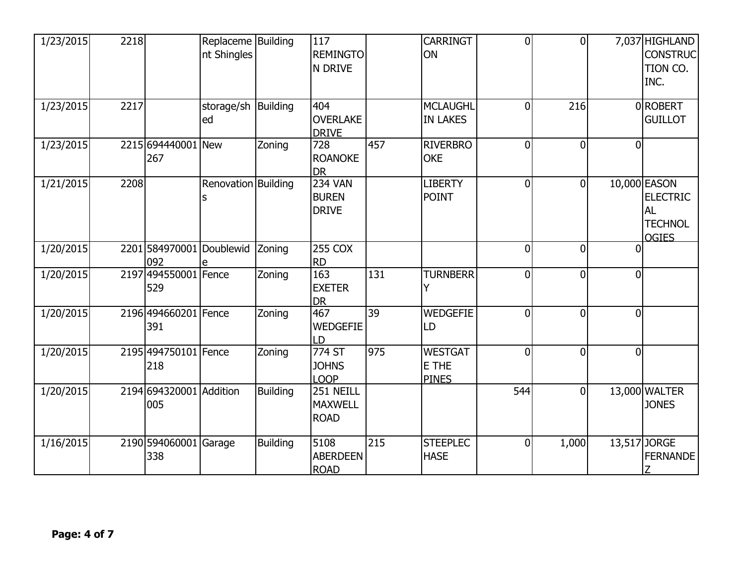| 1/23/2015 | 2218 |                                | Replaceme Building<br>nt Shingles |                 | 117<br><b>REMINGTO</b><br>N DRIVE              |     | <b>CARRINGT</b><br>ON                   | $\overline{0}$ | $\Omega$     |                | 7,037 HIGHLAND<br><b>CONSTRUC</b><br>TION CO.<br>INC.                          |
|-----------|------|--------------------------------|-----------------------------------|-----------------|------------------------------------------------|-----|-----------------------------------------|----------------|--------------|----------------|--------------------------------------------------------------------------------|
| 1/23/2015 | 2217 |                                | storage/sh   Building<br>ed       |                 | 404<br><b>OVERLAKE</b><br><b>DRIVE</b>         |     | <b>MCLAUGHL</b><br><b>IN LAKES</b>      | $\overline{0}$ | 216          |                | 0ROBERT<br><b>GUILLOT</b>                                                      |
| 1/23/2015 |      | 2215 694440001 New<br>267      |                                   | Zoning          | 728<br><b>ROANOKE</b><br><b>DR</b>             | 457 | <b>RIVERBRO</b><br><b>OKE</b>           | $\overline{0}$ | $\Omega$     | $\overline{0}$ |                                                                                |
| 1/21/2015 | 2208 |                                | Renovation Building               |                 | <b>234 VAN</b><br><b>BUREN</b><br><b>DRIVE</b> |     | <b>LIBERTY</b><br><b>POINT</b>          | $\overline{0}$ | $\Omega$     |                | 10,000 EASON<br><b>ELECTRIC</b><br><b>AL</b><br><b>TECHNOL</b><br><b>OGIES</b> |
| 1/20/2015 |      | 2201 584970001<br>092          | Doublewid<br>e                    | Zoning          | <b>255 COX</b><br><b>RD</b>                    |     |                                         | $\overline{0}$ | $\Omega$     | $\Omega$       |                                                                                |
| 1/20/2015 |      | 2197 494550001 Fence<br>529    |                                   | Zoning          | 163<br><b>EXETER</b><br><b>DR</b>              | 131 | <b>TURNBERR</b>                         | $\overline{0}$ | $\mathbf{0}$ | $\overline{0}$ |                                                                                |
| 1/20/2015 |      | 2196 494660201 Fence<br>391    |                                   | Zoning          | 467<br><b>WEDGEFIE</b><br>LD                   | 39  | <b>WEDGEFIE</b><br>LD                   | $\overline{0}$ | $\Omega$     | $\overline{0}$ |                                                                                |
| 1/20/2015 |      | 2195 494750101 Fence<br>218    |                                   | Zoning          | 774 ST<br><b>JOHNS</b><br><b>LOOP</b>          | 975 | <b>WESTGAT</b><br>E THE<br><b>PINES</b> | $\overline{0}$ | $\mathbf{0}$ | $\overline{0}$ |                                                                                |
| 1/20/2015 |      | 2194 694320001 Addition<br>005 |                                   | Building        | 251 NEILL<br><b>MAXWELL</b><br><b>ROAD</b>     |     |                                         | 544            | $\Omega$     |                | 13,000 WALTER<br><b>JONES</b>                                                  |
| 1/16/2015 |      | 2190 594060001<br>338          | Garage                            | <b>Building</b> | 5108<br><b>ABERDEEN</b><br><b>ROAD</b>         | 215 | <b>STEEPLEC</b><br><b>HASE</b>          | $\mathbf 0$    | 1,000        |                | 13,517 JORGE<br><b>FERNANDE</b>                                                |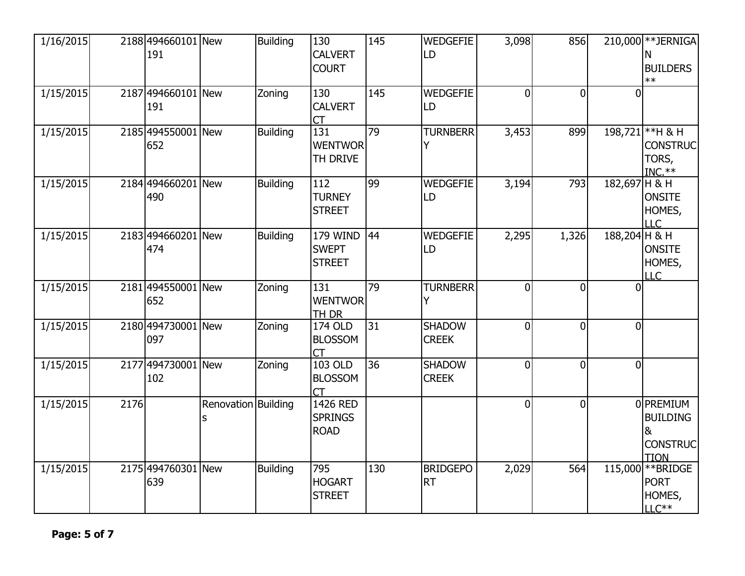| 1/16/2015 |      | 2188 494660101 New<br>191 |                          | <b>Building</b> | 130<br><b>CALVERT</b><br><b>COURT</b>     | 145             | <b>WEDGEFIE</b><br>LD         | 3,098          | 856            |                | 210,000 ** JERNIGA<br>N<br><b>BUILDERS</b><br>$**$                  |
|-----------|------|---------------------------|--------------------------|-----------------|-------------------------------------------|-----------------|-------------------------------|----------------|----------------|----------------|---------------------------------------------------------------------|
| 1/15/2015 |      | 2187 494660101 New<br>191 |                          | Zoning          | 130<br><b>CALVERT</b><br>СT               | 145             | WEDGEFIE<br>LD                | $\Omega$       | $\Omega$       | n              |                                                                     |
| 1/15/2015 |      | 2185 494550001 New<br>652 |                          | <b>Building</b> | 131<br><b>WENTWOR</b><br>TH DRIVE         | 79              | <b>TURNBERR</b>               | 3,453          | 899            |                | 198,721 ** H & H<br><b>CONSTRUC</b><br>TORS,<br>$INC.**$            |
| 1/15/2015 |      | 2184 494660201 New<br>490 |                          | <b>Building</b> | 112<br><b>TURNEY</b><br><b>STREET</b>     | 99              | <b>WEDGEFIE</b><br>LD         | 3,194          | 793            | 182,697 H & H  | <b>ONSITE</b><br>HOMES,<br>LLC                                      |
| 1/15/2015 |      | 2183 494660201 New<br>474 |                          | <b>Building</b> | 179 WIND<br><b>SWEPT</b><br><b>STREET</b> | 44              | <b>WEDGEFIE</b><br>LD         | 2,295          | 1,326          | 188,204 H & H  | <b>ONSITE</b><br>HOMES,<br>LLC                                      |
| 1/15/2015 |      | 2181 494550001 New<br>652 |                          | Zoning          | 131<br><b>WENTWOR</b><br>TH DR            | 79              | <b>TURNBERR</b>               | $\theta$       | $\Omega$       | $\Omega$       |                                                                     |
| 1/15/2015 |      | 2180 494730001 New<br>097 |                          | Zoning          | 174 OLD<br><b>BLOSSOM</b><br><b>CT</b>    | $\overline{31}$ | <b>SHADOW</b><br><b>CREEK</b> | $\overline{0}$ | $\overline{0}$ | $\overline{0}$ |                                                                     |
| 1/15/2015 |      | 2177 494730001 New<br>102 |                          | Zoning          | 103 OLD<br><b>BLOSSOM</b><br><b>CT</b>    | 36              | <b>SHADOW</b><br><b>CREEK</b> | $\overline{0}$ | $\overline{0}$ | $\overline{0}$ |                                                                     |
| 1/15/2015 | 2176 |                           | Renovation Building<br>s |                 | 1426 RED<br><b>SPRINGS</b><br><b>ROAD</b> |                 |                               | $\mathbf 0$    | $\overline{0}$ |                | 0 PREMIUM<br><b>BUILDING</b><br>8<br><b>CONSTRUC</b><br><b>TION</b> |
| 1/15/2015 |      | 2175 494760301 New<br>639 |                          | Building        | 795<br><b>HOGART</b><br><b>STREET</b>     | 130             | <b>BRIDGEPO</b><br><b>RT</b>  | 2,029          | 564            |                | 115,000 ** BRIDGE<br><b>PORT</b><br>HOMES,<br>$LLC**$               |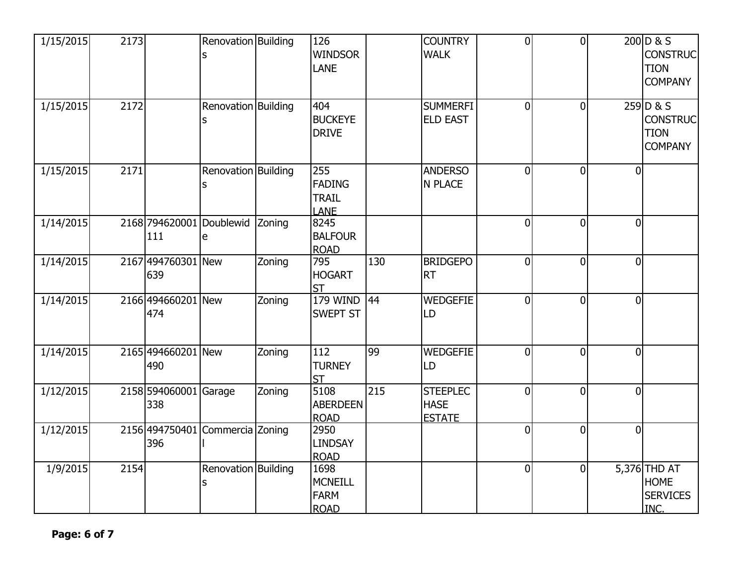| 1/15/2015 | 2173 |                              | Renovation Building<br>S             |        | 126<br><b>WINDSOR</b><br><b>LANE</b>                 |     | <b>COUNTRY</b><br><b>WALK</b>                   | $\overline{0}$ | $\overline{0}$ |                | 200D & S<br><b>CONSTRUC</b><br><b>TION</b><br><b>COMPANY</b> |
|-----------|------|------------------------------|--------------------------------------|--------|------------------------------------------------------|-----|-------------------------------------------------|----------------|----------------|----------------|--------------------------------------------------------------|
| 1/15/2015 | 2172 |                              | Renovation Building<br>S             |        | 404<br><b>BUCKEYE</b><br><b>DRIVE</b>                |     | <b>SUMMERFI</b><br><b>ELD EAST</b>              | $\overline{0}$ | $\overline{0}$ |                | 259D&S<br><b>CONSTRUC</b><br><b>TION</b><br><b>COMPANY</b>   |
| 1/15/2015 | 2171 |                              | Renovation Building<br>S             |        | 255<br><b>FADING</b><br><b>TRAIL</b><br><b>LANE</b>  |     | <b>ANDERSO</b><br>N PLACE                       | $\Omega$       | $\Omega$       | 0              |                                                              |
| 1/14/2015 |      | 111                          | 2168 794620001 Doublewid Zoning<br>e |        | 8245<br><b>BALFOUR</b><br><b>ROAD</b>                |     |                                                 | $\Omega$       | $\Omega$       | $\overline{0}$ |                                                              |
| 1/14/2015 |      | 2167 494760301 New<br>639    |                                      | Zoning | 795<br><b>HOGART</b><br><b>ST</b>                    | 130 | <b>BRIDGEPO</b><br><b>RT</b>                    | $\Omega$       | $\overline{0}$ | $\overline{0}$ |                                                              |
| 1/14/2015 |      | 2166 494660201 New<br>474    |                                      | Zoning | <b>179 WIND</b><br><b>SWEPT ST</b>                   | 44  | <b>WEDGEFIE</b><br>LD                           | $\Omega$       | $\Omega$       | $\overline{0}$ |                                                              |
| 1/14/2015 |      | 2165 494660201 New<br>490    |                                      | Zoning | 112<br><b>TURNEY</b><br><b>ST</b>                    | 99  | <b>WEDGEFIE</b><br>LD                           | $\Omega$       | $\overline{0}$ | $\overline{0}$ |                                                              |
| 1/12/2015 |      | 2158 594060001 Garage<br>338 |                                      | Zoning | 5108<br><b>ABERDEEN</b><br><b>ROAD</b>               | 215 | <b>STEEPLEC</b><br><b>HASE</b><br><b>ESTATE</b> | $\overline{0}$ | $\overline{0}$ | $\overline{0}$ |                                                              |
| 1/12/2015 |      | 396                          | 2156 494750401 Commercia Zoning      |        | 2950<br><b>LINDSAY</b><br><b>ROAD</b>                |     |                                                 | $\overline{0}$ | $\overline{0}$ | $\overline{0}$ |                                                              |
| 1/9/2015  | 2154 |                              | Renovation Building<br>S             |        | 1698<br><b>MCNEILL</b><br><b>FARM</b><br><b>ROAD</b> |     |                                                 | $\overline{0}$ | $\overline{0}$ |                | 5,376 THD AT<br><b>HOME</b><br><b>SERVICES</b><br>INC.       |